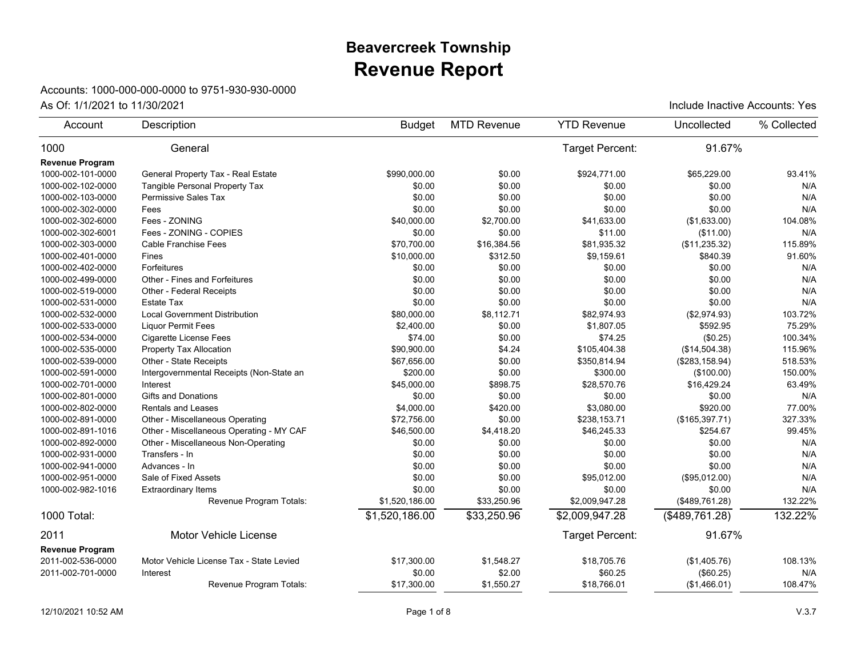## **Revenue Report Beavercreek Township**

## Accounts: 1000-000-000-0000 to 9751-930-930-0000

| Account                | Description                              | <b>Budget</b>  | <b>MTD Revenue</b> | <b>YTD Revenue</b>     | Uncollected     | % Collected |
|------------------------|------------------------------------------|----------------|--------------------|------------------------|-----------------|-------------|
| 1000                   | General                                  |                |                    | <b>Target Percent:</b> | 91.67%          |             |
| <b>Revenue Program</b> |                                          |                |                    |                        |                 |             |
| 1000-002-101-0000      | General Property Tax - Real Estate       | \$990.000.00   | \$0.00             | \$924.771.00           | \$65,229.00     | 93.41%      |
| 1000-002-102-0000      | Tangible Personal Property Tax           | \$0.00         | \$0.00             | \$0.00                 | \$0.00          | N/A         |
| 1000-002-103-0000      | Permissive Sales Tax                     | \$0.00         | \$0.00             | \$0.00                 | \$0.00          | N/A         |
| 1000-002-302-0000      | Fees                                     | \$0.00         | \$0.00             | \$0.00                 | \$0.00          | N/A         |
| 1000-002-302-6000      | Fees - ZONING                            | \$40,000.00    | \$2,700.00         | \$41,633.00            | (\$1,633.00)    | 104.08%     |
| 1000-002-302-6001      | Fees - ZONING - COPIES                   | \$0.00         | \$0.00             | \$11.00                | (\$11.00)       | N/A         |
| 1000-002-303-0000      | Cable Franchise Fees                     | \$70.700.00    | \$16,384.56        | \$81,935.32            | (\$11,235.32)   | 115.89%     |
| 1000-002-401-0000      | Fines                                    | \$10,000.00    | \$312.50           | \$9,159.61             | \$840.39        | 91.60%      |
| 1000-002-402-0000      | Forfeitures                              | \$0.00         | \$0.00             | \$0.00                 | \$0.00          | N/A         |
| 1000-002-499-0000      | Other - Fines and Forfeitures            | \$0.00         | \$0.00             | \$0.00                 | \$0.00          | N/A         |
| 1000-002-519-0000      | Other - Federal Receipts                 | \$0.00         | \$0.00             | \$0.00                 | \$0.00          | N/A         |
| 1000-002-531-0000      | <b>Estate Tax</b>                        | \$0.00         | \$0.00             | \$0.00                 | \$0.00          | N/A         |
| 1000-002-532-0000      | <b>Local Government Distribution</b>     | \$80,000.00    | \$8,112.71         | \$82,974.93            | (\$2,974.93)    | 103.72%     |
| 1000-002-533-0000      | <b>Liquor Permit Fees</b>                | \$2,400.00     | \$0.00             | \$1,807.05             | \$592.95        | 75.29%      |
| 1000-002-534-0000      | <b>Cigarette License Fees</b>            | \$74.00        | \$0.00             | \$74.25                | (\$0.25)        | 100.34%     |
| 1000-002-535-0000      | Property Tax Allocation                  | \$90,900.00    | \$4.24             | \$105,404.38           | (\$14,504.38)   | 115.96%     |
| 1000-002-539-0000      | Other - State Receipts                   | \$67,656.00    | \$0.00             | \$350,814.94           | (\$283, 158.94) | 518.53%     |
| 1000-002-591-0000      | Intergovernmental Receipts (Non-State an | \$200.00       | \$0.00             | \$300.00               | (\$100.00)      | 150.00%     |
| 1000-002-701-0000      | Interest                                 | \$45,000.00    | \$898.75           | \$28,570.76            | \$16,429.24     | 63.49%      |
| 1000-002-801-0000      | <b>Gifts and Donations</b>               | \$0.00         | \$0.00             | \$0.00                 | \$0.00          | N/A         |
| 1000-002-802-0000      | <b>Rentals and Leases</b>                | \$4,000.00     | \$420.00           | \$3,080.00             | \$920.00        | 77.00%      |
| 1000-002-891-0000      | Other - Miscellaneous Operating          | \$72.756.00    | \$0.00             | \$238.153.71           | (\$165,397.71)  | 327.33%     |
| 1000-002-891-1016      | Other - Miscellaneous Operating - MY CAF | \$46,500.00    | \$4,418.20         | \$46,245.33            | \$254.67        | 99.45%      |
| 1000-002-892-0000      | Other - Miscellaneous Non-Operating      | \$0.00         | \$0.00             | \$0.00                 | \$0.00          | N/A         |
| 1000-002-931-0000      | Transfers - In                           | \$0.00         | \$0.00             | \$0.00                 | \$0.00          | N/A         |
| 1000-002-941-0000      | Advances - In                            | \$0.00         | \$0.00             | \$0.00                 | \$0.00          | N/A         |
| 1000-002-951-0000      | Sale of Fixed Assets                     | \$0.00         | \$0.00             | \$95,012.00            | (\$95,012.00)   | N/A         |
| 1000-002-982-1016      | <b>Extraordinary Items</b>               | \$0.00         | \$0.00             | \$0.00                 | \$0.00          | N/A         |
|                        | Revenue Program Totals:                  | \$1,520,186.00 | \$33,250.96        | \$2,009,947.28         | (\$489,761.28)  | 132.22%     |
| 1000 Total:            |                                          | \$1,520,186.00 | \$33,250.96        | \$2,009,947.28         | (\$489,761.28)  | 132.22%     |
| 2011                   | Motor Vehicle License                    |                |                    | Target Percent:        | 91.67%          |             |
| <b>Revenue Program</b> |                                          |                |                    |                        |                 |             |
| 2011-002-536-0000      | Motor Vehicle License Tax - State Levied | \$17,300.00    | \$1,548.27         | \$18,705.76            | (\$1,405.76)    | 108.13%     |
| 2011-002-701-0000      | Interest                                 | \$0.00         | \$2.00             | \$60.25                | (\$60.25)       | N/A         |
|                        | Revenue Program Totals:                  | \$17,300.00    | \$1,550.27         | \$18,766.01            | (\$1,466.01)    | 108.47%     |
|                        |                                          |                |                    |                        |                 |             |

As Of:  $1/1/2021$  to  $11/30/2021$  As Of:  $1/1/2021$  to  $11/30/2021$  include Inactive Accounts: Yes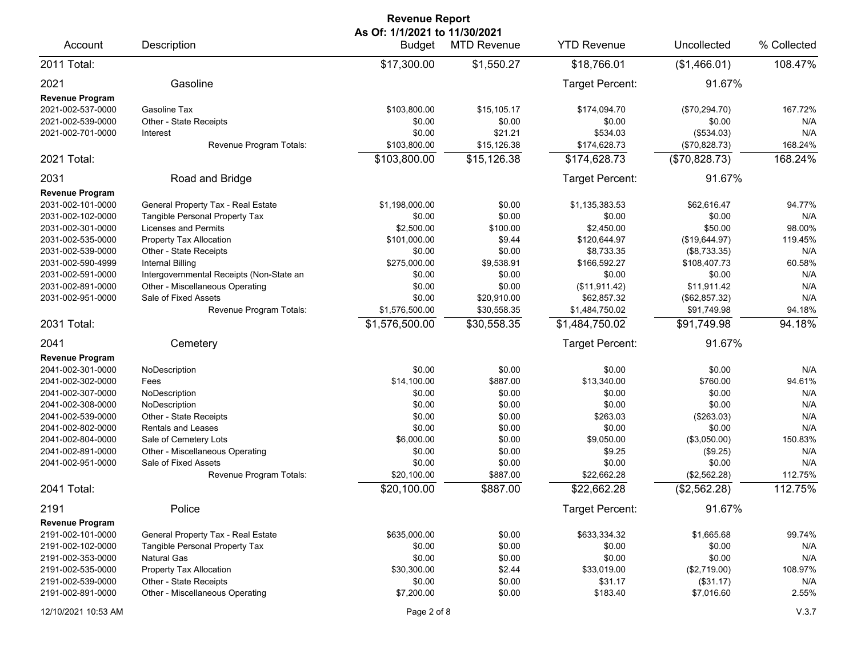|                                                                                                                                                                                                                                    |                                                                                                                                                                                                                                                                                                                | <b>Revenue Report</b>                                                                                                            |                                                                                                                  |                                                                                                                                                  |                                                                                                                                            |                                                                                          |
|------------------------------------------------------------------------------------------------------------------------------------------------------------------------------------------------------------------------------------|----------------------------------------------------------------------------------------------------------------------------------------------------------------------------------------------------------------------------------------------------------------------------------------------------------------|----------------------------------------------------------------------------------------------------------------------------------|------------------------------------------------------------------------------------------------------------------|--------------------------------------------------------------------------------------------------------------------------------------------------|--------------------------------------------------------------------------------------------------------------------------------------------|------------------------------------------------------------------------------------------|
| Account                                                                                                                                                                                                                            | Description                                                                                                                                                                                                                                                                                                    | As Of: 1/1/2021 to 11/30/2021<br><b>Budget</b>                                                                                   | <b>MTD Revenue</b>                                                                                               | <b>YTD Revenue</b>                                                                                                                               | Uncollected                                                                                                                                | % Collected                                                                              |
| 2011 Total:                                                                                                                                                                                                                        |                                                                                                                                                                                                                                                                                                                | \$17,300.00                                                                                                                      | \$1,550.27                                                                                                       | \$18,766.01                                                                                                                                      | (\$1,466.01)                                                                                                                               | 108.47%                                                                                  |
| 2021<br><b>Revenue Program</b>                                                                                                                                                                                                     | Gasoline                                                                                                                                                                                                                                                                                                       |                                                                                                                                  |                                                                                                                  | Target Percent:                                                                                                                                  | 91.67%                                                                                                                                     |                                                                                          |
| 2021-002-537-0000<br>2021-002-539-0000<br>2021-002-701-0000                                                                                                                                                                        | Gasoline Tax<br>Other - State Receipts<br>Interest<br>Revenue Program Totals:                                                                                                                                                                                                                                  | \$103,800.00<br>\$0.00<br>\$0.00<br>\$103,800.00                                                                                 | \$15,105.17<br>\$0.00<br>\$21.21<br>\$15,126.38                                                                  | \$174,094.70<br>\$0.00<br>\$534.03<br>\$174,628.73                                                                                               | (\$70,294.70)<br>\$0.00<br>(\$534.03)<br>(\$70,828.73)                                                                                     | 167.72%<br>N/A<br>N/A<br>168.24%                                                         |
| 2021 Total:                                                                                                                                                                                                                        |                                                                                                                                                                                                                                                                                                                | \$103,800.00                                                                                                                     | \$15,126.38                                                                                                      | \$174,628.73                                                                                                                                     | (\$70,828.73)                                                                                                                              | 168.24%                                                                                  |
| 2031                                                                                                                                                                                                                               | Road and Bridge                                                                                                                                                                                                                                                                                                |                                                                                                                                  |                                                                                                                  | Target Percent:                                                                                                                                  | 91.67%                                                                                                                                     |                                                                                          |
| <b>Revenue Program</b><br>2031-002-101-0000<br>2031-002-102-0000<br>2031-002-301-0000<br>2031-002-535-0000<br>2031-002-539-0000<br>2031-002-590-4999<br>2031-002-591-0000<br>2031-002-891-0000<br>2031-002-951-0000                | General Property Tax - Real Estate<br>Tangible Personal Property Tax<br><b>Licenses and Permits</b><br>Property Tax Allocation<br>Other - State Receipts<br>Internal Billing<br>Intergovernmental Receipts (Non-State an<br>Other - Miscellaneous Operating<br>Sale of Fixed Assets<br>Revenue Program Totals: | \$1,198,000.00<br>\$0.00<br>\$2,500.00<br>\$101,000.00<br>\$0.00<br>\$275,000.00<br>\$0.00<br>\$0.00<br>\$0.00<br>\$1,576,500.00 | \$0.00<br>\$0.00<br>\$100.00<br>\$9.44<br>\$0.00<br>\$9,538.91<br>\$0.00<br>\$0.00<br>\$20,910.00<br>\$30,558.35 | \$1,135,383.53<br>\$0.00<br>\$2.450.00<br>\$120,644.97<br>\$8,733.35<br>\$166,592.27<br>\$0.00<br>(\$11,911.42)<br>\$62,857.32<br>\$1,484,750.02 | \$62,616.47<br>\$0.00<br>\$50.00<br>(\$19,644.97)<br>(\$8,733.35)<br>\$108,407.73<br>\$0.00<br>\$11,911.42<br>(\$62,857.32)<br>\$91,749.98 | 94.77%<br>N/A<br>98.00%<br>119.45%<br>N/A<br>60.58%<br>N/A<br>N/A<br>N/A<br>94.18%       |
| 2031 Total:                                                                                                                                                                                                                        |                                                                                                                                                                                                                                                                                                                | \$1,576,500.00                                                                                                                   | \$30,558.35                                                                                                      | \$1,484,750.02                                                                                                                                   | \$91,749.98                                                                                                                                | 94.18%                                                                                   |
| 2041                                                                                                                                                                                                                               | Cemetery                                                                                                                                                                                                                                                                                                       |                                                                                                                                  |                                                                                                                  | Target Percent:                                                                                                                                  | 91.67%                                                                                                                                     |                                                                                          |
| <b>Revenue Program</b><br>2041-002-301-0000<br>2041-002-302-0000<br>2041-002-307-0000<br>2041-002-308-0000<br>2041-002-539-0000<br>2041-002-802-0000<br>2041-002-804-0000<br>2041-002-891-0000<br>2041-002-951-0000<br>2041 Total: | NoDescription<br>Fees<br>NoDescription<br>NoDescription<br>Other - State Receipts<br>Rentals and Leases<br>Sale of Cemetery Lots<br>Other - Miscellaneous Operating<br>Sale of Fixed Assets<br>Revenue Program Totals:                                                                                         | \$0.00<br>\$14,100.00<br>\$0.00<br>\$0.00<br>\$0.00<br>\$0.00<br>\$6,000.00<br>\$0.00<br>\$0.00<br>\$20,100.00<br>\$20,100.00    | \$0.00<br>\$887.00<br>\$0.00<br>\$0.00<br>\$0.00<br>\$0.00<br>\$0.00<br>\$0.00<br>\$0.00<br>\$887.00<br>\$887.00 | \$0.00<br>\$13,340.00<br>\$0.00<br>\$0.00<br>\$263.03<br>\$0.00<br>\$9,050.00<br>\$9.25<br>\$0.00<br>\$22,662.28<br>\$22,662.28                  | \$0.00<br>\$760.00<br>\$0.00<br>\$0.00<br>(\$263.03)<br>\$0.00<br>(\$3,050.00)<br>(\$9.25)<br>\$0.00<br>(\$2,562.28)<br>(\$2,562.28)       | N/A<br>94.61%<br>N/A<br>N/A<br>N/A<br>N/A<br>150.83%<br>N/A<br>N/A<br>112.75%<br>112.75% |
| 2191                                                                                                                                                                                                                               | Police                                                                                                                                                                                                                                                                                                         |                                                                                                                                  |                                                                                                                  | Target Percent:                                                                                                                                  | 91.67%                                                                                                                                     |                                                                                          |
| <b>Revenue Program</b><br>2191-002-101-0000<br>2191-002-102-0000<br>2191-002-353-0000<br>2191-002-535-0000<br>2191-002-539-0000<br>2191-002-891-0000                                                                               | General Property Tax - Real Estate<br>Tangible Personal Property Tax<br><b>Natural Gas</b><br>Property Tax Allocation<br>Other - State Receipts<br>Other - Miscellaneous Operating                                                                                                                             | \$635,000.00<br>\$0.00<br>\$0.00<br>\$30,300.00<br>\$0.00<br>\$7,200.00                                                          | \$0.00<br>\$0.00<br>\$0.00<br>\$2.44<br>\$0.00<br>\$0.00                                                         | \$633,334.32<br>\$0.00<br>\$0.00<br>\$33,019.00<br>\$31.17<br>\$183.40                                                                           | \$1,665.68<br>\$0.00<br>\$0.00<br>(\$2,719.00)<br>(\$31.17)<br>\$7,016.60                                                                  | 99.74%<br>N/A<br>N/A<br>108.97%<br>N/A<br>2.55%                                          |
| 12/10/2021 10:53 AM                                                                                                                                                                                                                |                                                                                                                                                                                                                                                                                                                | Page 2 of 8                                                                                                                      |                                                                                                                  |                                                                                                                                                  |                                                                                                                                            | V.3.7                                                                                    |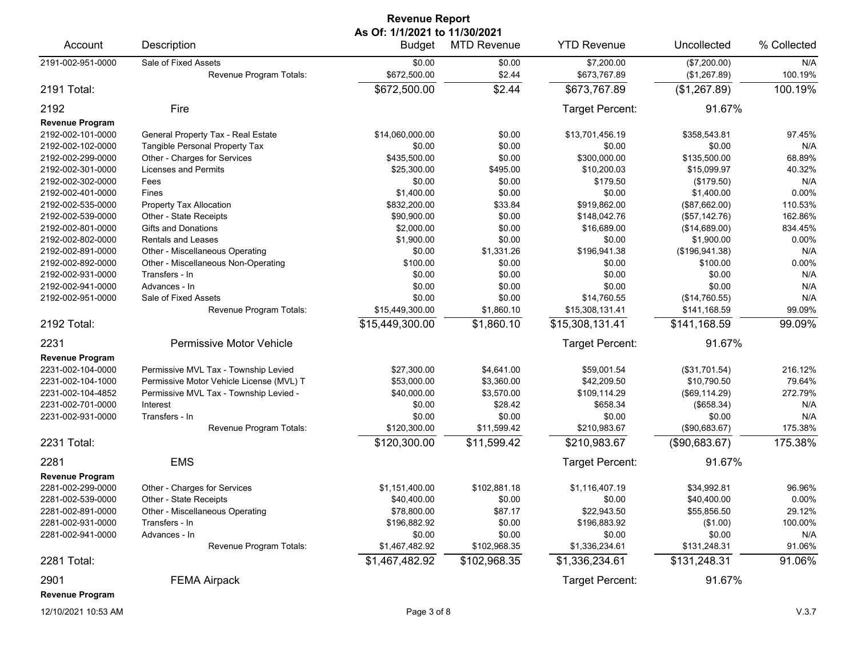| <b>Revenue Report</b>  |                                                 |                                                |                    |                            |                              |                |  |  |
|------------------------|-------------------------------------------------|------------------------------------------------|--------------------|----------------------------|------------------------------|----------------|--|--|
| Account                | Description                                     | As Of: 1/1/2021 to 11/30/2021<br><b>Budget</b> | <b>MTD Revenue</b> | <b>YTD Revenue</b>         | Uncollected                  | % Collected    |  |  |
| 2191-002-951-0000      | Sale of Fixed Assets<br>Revenue Program Totals: | \$0.00<br>\$672,500.00                         | \$0.00<br>\$2.44   | \$7,200.00<br>\$673,767.89 | (\$7,200.00)<br>(\$1,267.89) | N/A<br>100.19% |  |  |
| 2191 Total:            |                                                 | \$672,500.00                                   | \$2.44             | \$673,767.89               | (\$1,267.89)                 | 100.19%        |  |  |
| 2192<br>Fire           |                                                 |                                                |                    | Target Percent:            | 91.67%                       |                |  |  |
| <b>Revenue Program</b> |                                                 |                                                |                    |                            |                              |                |  |  |
| 2192-002-101-0000      | General Property Tax - Real Estate              | \$14,060,000.00                                | \$0.00             | \$13,701,456.19            | \$358,543.81                 | 97.45%         |  |  |
| 2192-002-102-0000      | Tangible Personal Property Tax                  | \$0.00                                         | \$0.00             | \$0.00                     | \$0.00                       | N/A            |  |  |
| 2192-002-299-0000      | Other - Charges for Services                    | \$435,500.00                                   | \$0.00             | \$300,000.00               | \$135,500.00                 | 68.89%         |  |  |
| 2192-002-301-0000      | <b>Licenses and Permits</b>                     | \$25,300.00                                    | \$495.00           | \$10,200.03                | \$15,099.97                  | 40.32%         |  |  |
| 2192-002-302-0000      | Fees                                            | \$0.00                                         | \$0.00             | \$179.50                   | (\$179.50)                   | N/A            |  |  |
| 2192-002-401-0000      | Fines                                           | \$1,400.00                                     | \$0.00             | \$0.00                     | \$1,400.00                   | 0.00%          |  |  |
| 2192-002-535-0000      | <b>Property Tax Allocation</b>                  | \$832,200.00                                   | \$33.84            | \$919,862.00               | (\$87,662.00)                | 110.53%        |  |  |
| 2192-002-539-0000      | Other - State Receipts                          | \$90,900.00                                    | \$0.00             | \$148,042.76               | (\$57,142.76)                | 162.86%        |  |  |
| 2192-002-801-0000      | <b>Gifts and Donations</b>                      | \$2,000.00                                     | \$0.00             | \$16,689.00                | (\$14,689.00)                | 834.45%        |  |  |
| 2192-002-802-0000      | Rentals and Leases                              | \$1,900.00                                     | \$0.00             | \$0.00                     | \$1,900.00                   | 0.00%          |  |  |
| 2192-002-891-0000      | Other - Miscellaneous Operating                 | \$0.00                                         | \$1,331.26         | \$196,941.38               | (\$196, 941.38)              | N/A            |  |  |
| 2192-002-892-0000      | Other - Miscellaneous Non-Operating             | \$100.00                                       | \$0.00             | \$0.00                     | \$100.00                     | 0.00%          |  |  |
| 2192-002-931-0000      | Transfers - In                                  | \$0.00                                         | \$0.00             | \$0.00                     | \$0.00                       | N/A            |  |  |
| 2192-002-941-0000      | Advances - In                                   | \$0.00                                         | \$0.00             | \$0.00                     | \$0.00                       | N/A            |  |  |
| 2192-002-951-0000      | Sale of Fixed Assets                            | \$0.00                                         | \$0.00             | \$14,760.55                | (\$14,760.55)                | N/A            |  |  |
|                        | Revenue Program Totals:                         | \$15,449,300.00                                | \$1,860.10         | \$15,308,131.41            | \$141,168.59                 | 99.09%         |  |  |
| 2192 Total:            |                                                 | \$15,449,300.00                                | \$1,860.10         | \$15,308,131.41            | \$141,168.59                 | 99.09%         |  |  |
| 2231                   | Permissive Motor Vehicle                        |                                                |                    | Target Percent:            | 91.67%                       |                |  |  |
| <b>Revenue Program</b> |                                                 |                                                |                    |                            |                              |                |  |  |
| 2231-002-104-0000      | Permissive MVL Tax - Township Levied            | \$27,300.00                                    | \$4,641.00         | \$59,001.54                | (\$31,701.54)                | 216.12%        |  |  |
| 2231-002-104-1000      | Permissive Motor Vehicle License (MVL) T        | \$53,000.00                                    | \$3,360.00         | \$42,209.50                | \$10,790.50                  | 79.64%         |  |  |
| 2231-002-104-4852      | Permissive MVL Tax - Township Levied -          | \$40,000.00                                    | \$3,570.00         | \$109,114.29               | (\$69,114.29)                | 272.79%        |  |  |
| 2231-002-701-0000      | Interest                                        | \$0.00                                         | \$28.42            | \$658.34                   | (\$658.34)                   | N/A            |  |  |
| 2231-002-931-0000      | Transfers - In                                  | \$0.00                                         | \$0.00             | \$0.00                     | \$0.00                       | N/A            |  |  |
|                        | Revenue Program Totals:                         | \$120,300.00                                   | \$11,599.42        | \$210,983.67               | (\$90,683.67)                | 175.38%        |  |  |
| 2231 Total:            |                                                 | \$120,300.00                                   | \$11,599.42        | \$210,983.67               | (\$90,683.67)                | 175.38%        |  |  |
| 2281                   | <b>EMS</b>                                      |                                                |                    | Target Percent:            | 91.67%                       |                |  |  |
| <b>Revenue Program</b> |                                                 |                                                |                    |                            |                              |                |  |  |
| 2281-002-299-0000      | Other - Charges for Services                    | \$1,151,400.00                                 | \$102,881.18       | \$1,116,407.19             | \$34,992.81                  | 96.96%         |  |  |
| 2281-002-539-0000      | Other - State Receipts                          | \$40,400.00                                    | \$0.00             | \$0.00                     | \$40,400.00                  | $0.00\%$       |  |  |
| 2281-002-891-0000      | Other - Miscellaneous Operating                 | \$78,800.00                                    | \$87.17            | \$22,943.50                | \$55,856.50                  | 29.12%         |  |  |
| 2281-002-931-0000      | Transfers - In                                  | \$196,882.92                                   | \$0.00             | \$196,883.92               | (\$1.00)                     | 100.00%        |  |  |
| 2281-002-941-0000      | Advances - In                                   | \$0.00                                         | \$0.00             | \$0.00                     | \$0.00                       | N/A            |  |  |
|                        | Revenue Program Totals:                         | \$1,467,482.92                                 | \$102,968.35       | \$1,336,234.61             | \$131,248.31                 | 91.06%         |  |  |
| 2281 Total:            |                                                 | \$1,467,482.92                                 | \$102,968.35       | \$1,336,234.61             | \$131,248.31                 | 91.06%         |  |  |
| 2901                   | <b>FEMA Airpack</b>                             |                                                |                    | Target Percent:            | 91.67%                       |                |  |  |
| <b>Revenue Program</b> |                                                 |                                                |                    |                            |                              |                |  |  |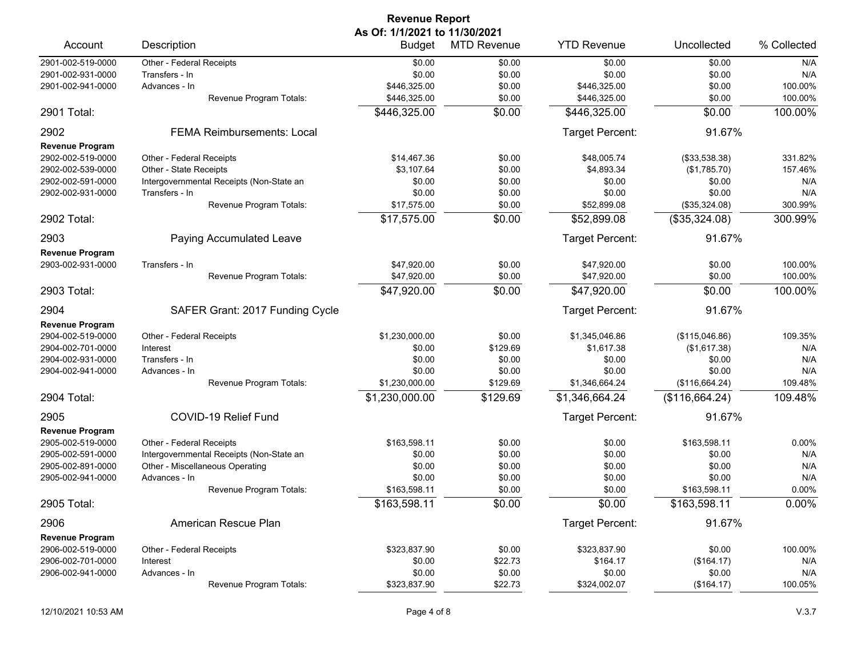|                        |                                          | <b>Revenue Report</b>         |                    |                    |                |             |
|------------------------|------------------------------------------|-------------------------------|--------------------|--------------------|----------------|-------------|
| Account                |                                          | As Of: 1/1/2021 to 11/30/2021 |                    | <b>YTD Revenue</b> |                |             |
|                        | Description                              | <b>Budget</b>                 | <b>MTD Revenue</b> |                    | Uncollected    | % Collected |
| 2901-002-519-0000      | Other - Federal Receipts                 | \$0.00                        | \$0.00             | \$0.00             | \$0.00         | N/A         |
| 2901-002-931-0000      | Transfers - In                           | \$0.00                        | \$0.00             | \$0.00             | \$0.00         | N/A         |
| 2901-002-941-0000      | Advances - In                            | \$446,325.00                  | \$0.00             | \$446,325.00       | \$0.00         | 100.00%     |
|                        | Revenue Program Totals:                  | \$446,325.00                  | \$0.00             | \$446,325.00       | \$0.00         | 100.00%     |
| 2901 Total:            |                                          | \$446,325.00                  | \$0.00             | \$446,325.00       | \$0.00         | 100.00%     |
| 2902                   | <b>FEMA Reimbursements: Local</b>        |                               |                    | Target Percent:    | 91.67%         |             |
| <b>Revenue Program</b> |                                          |                               |                    |                    |                |             |
| 2902-002-519-0000      | Other - Federal Receipts                 | \$14,467.36                   | \$0.00             | \$48,005.74        | (\$33,538.38)  | 331.82%     |
| 2902-002-539-0000      | Other - State Receipts                   | \$3,107.64                    | \$0.00             | \$4,893.34         | (\$1,785.70)   | 157.46%     |
| 2902-002-591-0000      | Intergovernmental Receipts (Non-State an | \$0.00                        | \$0.00             | \$0.00             | \$0.00         | N/A         |
| 2902-002-931-0000      | Transfers - In                           | \$0.00                        | \$0.00             | \$0.00             | \$0.00         | N/A         |
|                        | Revenue Program Totals:                  | \$17,575.00                   | \$0.00             | \$52,899.08        | (\$35,324.08)  | 300.99%     |
| 2902 Total:            |                                          | \$17,575.00                   | \$0.00             | \$52,899.08        | (\$35,324.08)  | 300.99%     |
| 2903                   | Paying Accumulated Leave                 |                               |                    | Target Percent:    | 91.67%         |             |
| <b>Revenue Program</b> |                                          |                               |                    |                    |                |             |
| 2903-002-931-0000      | Transfers - In                           | \$47,920.00                   | \$0.00             | \$47,920.00        | \$0.00         | 100.00%     |
|                        | Revenue Program Totals:                  | \$47,920.00                   | \$0.00             | \$47,920.00        | \$0.00         | 100.00%     |
| 2903 Total:            |                                          | \$47,920.00                   | \$0.00             | \$47,920.00        | \$0.00         | 100.00%     |
| 2904                   | SAFER Grant: 2017 Funding Cycle          |                               |                    | Target Percent:    | 91.67%         |             |
| <b>Revenue Program</b> |                                          |                               |                    |                    |                |             |
| 2904-002-519-0000      | Other - Federal Receipts                 | \$1,230,000.00                | \$0.00             | \$1,345,046.86     | (\$115,046.86) | 109.35%     |
| 2904-002-701-0000      | Interest                                 | \$0.00                        | \$129.69           | \$1,617.38         | (\$1,617.38)   | N/A         |
| 2904-002-931-0000      | Transfers - In                           | \$0.00                        | \$0.00             | \$0.00             | \$0.00         | N/A         |
| 2904-002-941-0000      | Advances - In                            | \$0.00                        | \$0.00             | \$0.00             | \$0.00         | N/A         |
|                        | Revenue Program Totals:                  | \$1,230,000.00                | \$129.69           | \$1,346,664.24     | (\$116,664.24) | 109.48%     |
| 2904 Total:            |                                          | \$1,230,000.00                | \$129.69           | \$1,346,664.24     | (\$116,664.24) | 109.48%     |
|                        |                                          |                               |                    |                    |                |             |
| 2905                   | COVID-19 Relief Fund                     |                               |                    | Target Percent:    | 91.67%         |             |
| <b>Revenue Program</b> |                                          |                               |                    |                    |                |             |
| 2905-002-519-0000      | Other - Federal Receipts                 | \$163,598.11                  | \$0.00             | \$0.00             | \$163.598.11   | 0.00%       |
| 2905-002-591-0000      | Intergovernmental Receipts (Non-State an | \$0.00                        | \$0.00             | \$0.00             | \$0.00         | N/A         |
| 2905-002-891-0000      | Other - Miscellaneous Operating          | \$0.00                        | \$0.00             | \$0.00             | \$0.00         | N/A         |
| 2905-002-941-0000      | Advances - In                            | \$0.00                        | \$0.00             | \$0.00             | \$0.00         | N/A         |
|                        | Revenue Program Totals:                  | \$163,598.11                  | \$0.00             | \$0.00             | \$163,598.11   | 0.00%       |
| 2905 Total:            |                                          | \$163,598.11                  | \$0.00             | \$0.00             | \$163,598.11   | 0.00%       |
| 2906                   | American Rescue Plan                     |                               |                    | Target Percent:    | 91.67%         |             |
| <b>Revenue Program</b> |                                          |                               |                    |                    |                |             |
| 2906-002-519-0000      | Other - Federal Receipts                 | \$323,837.90                  | \$0.00             | \$323,837.90       | \$0.00         | 100.00%     |
| 2906-002-701-0000      | Interest                                 | \$0.00                        | \$22.73            | \$164.17           | (\$164.17)     | N/A         |
| 2906-002-941-0000      | Advances - In                            | \$0.00                        | \$0.00             | \$0.00             | \$0.00         | N/A         |
|                        | Revenue Program Totals:                  | \$323,837.90                  | \$22.73            | \$324,002.07       | (\$164.17)     | 100.05%     |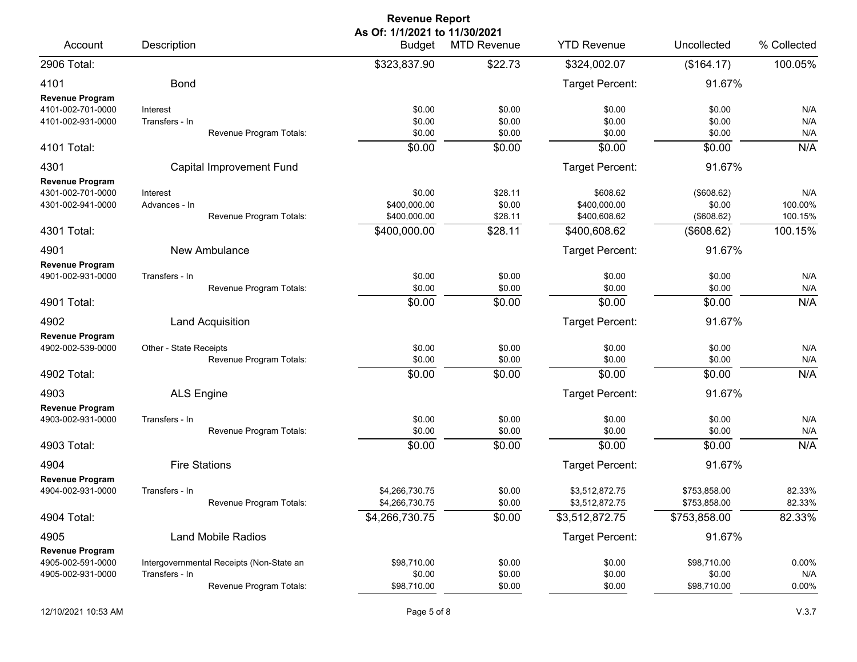|                                                                  |                                                            | <b>Revenue Report</b>                                  |                                         |                                                          |                                                  |                                      |
|------------------------------------------------------------------|------------------------------------------------------------|--------------------------------------------------------|-----------------------------------------|----------------------------------------------------------|--------------------------------------------------|--------------------------------------|
| Account                                                          | Description                                                | As Of: 1/1/2021 to 11/30/2021<br><b>Budget</b>         | <b>MTD Revenue</b>                      | <b>YTD Revenue</b>                                       | Uncollected                                      | % Collected                          |
| 2906 Total:                                                      |                                                            | \$323,837.90                                           | \$22.73                                 | \$324,002.07                                             | (\$164.17)                                       | 100.05%                              |
| 4101                                                             | <b>Bond</b>                                                |                                                        |                                         | Target Percent:                                          | 91.67%                                           |                                      |
| <b>Revenue Program</b><br>4101-002-701-0000<br>4101-002-931-0000 | Interest<br>Transfers - In<br>Revenue Program Totals:      | \$0.00<br>\$0.00<br>\$0.00                             | \$0.00<br>\$0.00<br>\$0.00              | \$0.00<br>\$0.00<br>\$0.00                               | \$0.00<br>\$0.00<br>\$0.00                       | N/A<br>N/A<br>N/A                    |
| 4101 Total:                                                      |                                                            | \$0.00                                                 | \$0.00                                  | \$0.00                                                   | \$0.00                                           | N/A                                  |
| 4301<br><b>Revenue Program</b>                                   | Capital Improvement Fund                                   |                                                        |                                         | Target Percent:                                          | 91.67%                                           |                                      |
| 4301-002-701-0000<br>4301-002-941-0000<br>4301 Total:            | Interest<br>Advances - In<br>Revenue Program Totals:       | \$0.00<br>\$400,000.00<br>\$400,000.00<br>\$400,000.00 | \$28.11<br>\$0.00<br>\$28.11<br>\$28.11 | \$608.62<br>\$400,000.00<br>\$400,608.62<br>\$400,608.62 | (\$608.62)<br>\$0.00<br>(\$608.62)<br>(\$608.62) | N/A<br>100.00%<br>100.15%<br>100.15% |
| 4901                                                             | New Ambulance                                              |                                                        |                                         | Target Percent:                                          | 91.67%                                           |                                      |
| <b>Revenue Program</b><br>4901-002-931-0000                      | Transfers - In<br>Revenue Program Totals:                  | \$0.00<br>\$0.00                                       | \$0.00<br>\$0.00                        | \$0.00<br>\$0.00                                         | \$0.00<br>\$0.00                                 | N/A<br>N/A                           |
| 4901 Total:                                                      |                                                            | \$0.00                                                 | \$0.00                                  | \$0.00                                                   | \$0.00                                           | N/A                                  |
| 4902                                                             | Land Acquisition                                           |                                                        |                                         | Target Percent:                                          | 91.67%                                           |                                      |
| <b>Revenue Program</b><br>4902-002-539-0000<br>4902 Total:       | Other - State Receipts<br>Revenue Program Totals:          | \$0.00<br>\$0.00<br>\$0.00                             | \$0.00<br>\$0.00<br>\$0.00              | \$0.00<br>\$0.00<br>\$0.00                               | \$0.00<br>\$0.00<br>\$0.00                       | N/A<br>N/A<br>N/A                    |
| 4903                                                             | <b>ALS Engine</b>                                          |                                                        |                                         | Target Percent:                                          | 91.67%                                           |                                      |
| <b>Revenue Program</b><br>4903-002-931-0000<br>4903 Total:       | Transfers - In<br>Revenue Program Totals:                  | \$0.00<br>\$0.00<br>\$0.00                             | \$0.00<br>\$0.00<br>\$0.00              | \$0.00<br>\$0.00<br>\$0.00                               | \$0.00<br>\$0.00<br>\$0.00                       | N/A<br>N/A<br>N/A                    |
| 4904                                                             | <b>Fire Stations</b>                                       |                                                        |                                         | Target Percent:                                          | 91.67%                                           |                                      |
| Revenue Program<br>4904-002-931-0000                             | Transfers - In<br>Revenue Program Totals:                  | \$4,266,730.75<br>\$4,266,730.75                       | \$0.00<br>\$0.00                        | \$3,512,872.75<br>\$3,512,872.75                         | \$753,858.00<br>\$753,858.00                     | 82.33%<br>82.33%                     |
| 4904 Total:                                                      |                                                            | \$4,266,730.75                                         | $\overline{$}0.00$                      | \$3,512,872.75                                           | \$753,858.00                                     | 82.33%                               |
| 4905<br><b>Revenue Program</b>                                   | <b>Land Mobile Radios</b>                                  |                                                        |                                         | Target Percent:                                          | 91.67%                                           |                                      |
| 4905-002-591-0000<br>4905-002-931-0000                           | Intergovernmental Receipts (Non-State an<br>Transfers - In | \$98,710.00<br>\$0.00                                  | \$0.00<br>\$0.00                        | \$0.00<br>\$0.00                                         | \$98,710.00<br>\$0.00                            | 0.00%<br>N/A                         |
|                                                                  | Revenue Program Totals:                                    | \$98,710.00                                            | \$0.00                                  | \$0.00                                                   | \$98,710.00                                      | 0.00%                                |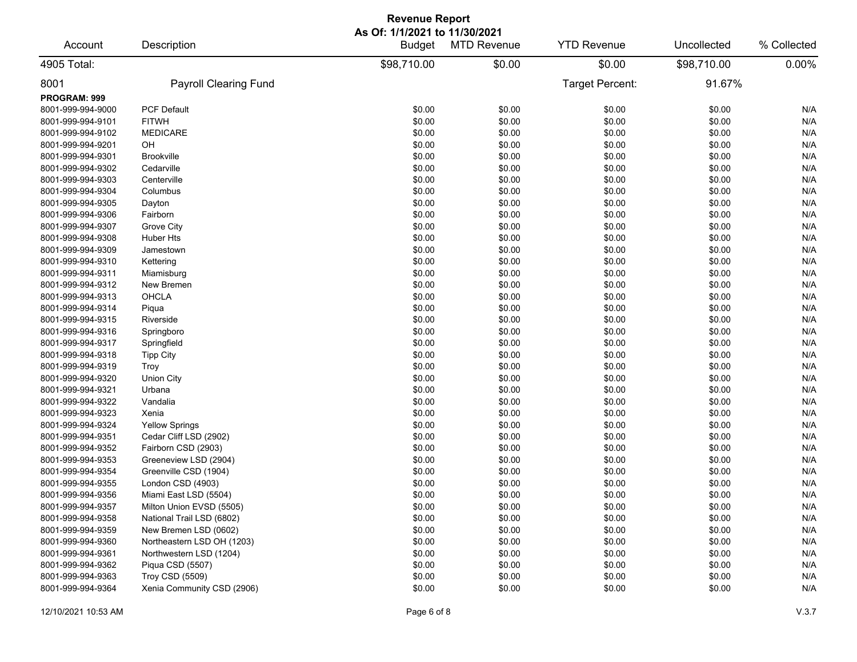| <b>Revenue Report</b>                  |                                               |                                         |                    |                    |             |             |  |  |
|----------------------------------------|-----------------------------------------------|-----------------------------------------|--------------------|--------------------|-------------|-------------|--|--|
| Account                                | Description                                   | As Of: 1/1/2021 to 11/30/2021<br>Budget | <b>MTD Revenue</b> | <b>YTD Revenue</b> | Uncollected | % Collected |  |  |
| 4905 Total:                            |                                               | \$98,710.00                             | \$0.00             | \$0.00             | \$98,710.00 | 0.00%       |  |  |
| 8001                                   | <b>Payroll Clearing Fund</b>                  |                                         |                    | Target Percent:    | 91.67%      |             |  |  |
| PROGRAM: 999                           |                                               |                                         |                    |                    |             |             |  |  |
| 8001-999-994-9000                      | <b>PCF Default</b>                            | \$0.00                                  | \$0.00             | \$0.00             | \$0.00      | N/A         |  |  |
| 8001-999-994-9101                      | <b>FITWH</b>                                  | \$0.00                                  | \$0.00             | \$0.00             | \$0.00      | N/A         |  |  |
| 8001-999-994-9102                      | <b>MEDICARE</b>                               | \$0.00                                  | \$0.00             | \$0.00             | \$0.00      | N/A         |  |  |
| 8001-999-994-9201                      | OH                                            | \$0.00                                  | \$0.00             | \$0.00             | \$0.00      | N/A         |  |  |
| 8001-999-994-9301                      | <b>Brookville</b>                             | \$0.00                                  | \$0.00             | \$0.00             | \$0.00      | N/A         |  |  |
| 8001-999-994-9302                      | Cedarville                                    | \$0.00                                  | \$0.00             | \$0.00             | \$0.00      | N/A         |  |  |
| 8001-999-994-9303                      | Centerville                                   | \$0.00                                  | \$0.00             | \$0.00             | \$0.00      | N/A         |  |  |
| 8001-999-994-9304                      | Columbus                                      | \$0.00                                  | \$0.00             | \$0.00             | \$0.00      | N/A         |  |  |
| 8001-999-994-9305                      | Dayton                                        | \$0.00                                  | \$0.00             | \$0.00             | \$0.00      | N/A         |  |  |
| 8001-999-994-9306                      | Fairborn                                      | \$0.00                                  | \$0.00             | \$0.00             | \$0.00      | N/A         |  |  |
| 8001-999-994-9307                      | Grove City                                    | \$0.00                                  | \$0.00             | \$0.00             | \$0.00      | N/A         |  |  |
| 8001-999-994-9308                      | Huber Hts                                     | \$0.00                                  | \$0.00             | \$0.00             | \$0.00      | N/A         |  |  |
| 8001-999-994-9309                      | Jamestown                                     | \$0.00                                  | \$0.00             | \$0.00             | \$0.00      | N/A         |  |  |
| 8001-999-994-9310                      | Kettering                                     | \$0.00                                  | \$0.00             | \$0.00             | \$0.00      | N/A         |  |  |
| 8001-999-994-9311                      | Miamisburg                                    | \$0.00                                  | \$0.00             | \$0.00             | \$0.00      | N/A         |  |  |
| 8001-999-994-9312                      | New Bremen                                    | \$0.00                                  | \$0.00             | \$0.00             | \$0.00      | N/A         |  |  |
| 8001-999-994-9313                      | <b>OHCLA</b>                                  | \$0.00                                  | \$0.00             | \$0.00             | \$0.00      | N/A         |  |  |
| 8001-999-994-9314                      | Piqua                                         | \$0.00                                  | \$0.00             | \$0.00             | \$0.00      | N/A         |  |  |
| 8001-999-994-9315                      | Riverside                                     | \$0.00                                  | \$0.00             | \$0.00             | \$0.00      | N/A         |  |  |
| 8001-999-994-9316                      | Springboro                                    | \$0.00                                  | \$0.00             | \$0.00             | \$0.00      | N/A         |  |  |
| 8001-999-994-9317                      | Springfield                                   | \$0.00                                  | \$0.00             | \$0.00             | \$0.00      | N/A         |  |  |
| 8001-999-994-9318                      | <b>Tipp City</b>                              | \$0.00                                  | \$0.00             | \$0.00             | \$0.00      | N/A         |  |  |
| 8001-999-994-9319                      | Troy                                          | \$0.00                                  | \$0.00             | \$0.00             | \$0.00      | N/A         |  |  |
| 8001-999-994-9320                      | <b>Union City</b>                             | \$0.00                                  | \$0.00             | \$0.00             | \$0.00      | N/A         |  |  |
| 8001-999-994-9321                      | Urbana                                        | \$0.00                                  | \$0.00             | \$0.00             | \$0.00      | N/A         |  |  |
| 8001-999-994-9322                      | Vandalia                                      | \$0.00                                  | \$0.00             | \$0.00             | \$0.00      | N/A         |  |  |
| 8001-999-994-9323                      | Xenia                                         | \$0.00                                  | \$0.00             | \$0.00             | \$0.00      | N/A         |  |  |
| 8001-999-994-9324                      | <b>Yellow Springs</b>                         | \$0.00                                  | \$0.00             | \$0.00             | \$0.00      | N/A         |  |  |
| 8001-999-994-9351                      | Cedar Cliff LSD (2902)                        | \$0.00                                  | \$0.00             | \$0.00             | \$0.00      | N/A         |  |  |
| 8001-999-994-9352                      | Fairborn CSD (2903)                           | \$0.00                                  | \$0.00             | \$0.00             | \$0.00      | N/A         |  |  |
| 8001-999-994-9353                      | Greeneview LSD (2904)                         | \$0.00                                  | \$0.00             | \$0.00             | \$0.00      | N/A         |  |  |
| 8001-999-994-9354                      | Greenville CSD (1904)                         | \$0.00                                  | \$0.00             | \$0.00             | \$0.00      | N/A         |  |  |
| 8001-999-994-9355                      | London CSD (4903)                             | \$0.00                                  | \$0.00             | \$0.00             | \$0.00      | N/A         |  |  |
| 8001-999-994-9356                      | Miami East LSD (5504)                         | \$0.00                                  | \$0.00             | \$0.00             | \$0.00      | N/A         |  |  |
| 8001-999-994-9357                      | Milton Union EVSD (5505)                      | \$0.00                                  | \$0.00             | \$0.00             | \$0.00      | N/A         |  |  |
| 8001-999-994-9358                      | National Trail LSD (6802)                     | \$0.00                                  | \$0.00             | \$0.00             | \$0.00      | N/A         |  |  |
| 8001-999-994-9359                      | New Bremen LSD (0602)                         | \$0.00                                  | \$0.00             | \$0.00             | \$0.00      | N/A         |  |  |
| 8001-999-994-9360                      | Northeastern LSD OH (1203)                    | \$0.00                                  | \$0.00             | \$0.00             | \$0.00      | N/A         |  |  |
| 8001-999-994-9361                      | Northwestern LSD (1204)                       | \$0.00                                  | \$0.00             | \$0.00             | \$0.00      | N/A         |  |  |
| 8001-999-994-9362                      |                                               |                                         |                    |                    |             |             |  |  |
|                                        | Piqua CSD (5507)                              | \$0.00                                  | \$0.00             | \$0.00             | \$0.00      | N/A         |  |  |
| 8001-999-994-9363<br>8001-999-994-9364 | Troy CSD (5509)<br>Xenia Community CSD (2906) | \$0.00                                  | \$0.00             | \$0.00             | \$0.00      | N/A<br>N/A  |  |  |
|                                        |                                               | \$0.00                                  | \$0.00             | \$0.00             | \$0.00      |             |  |  |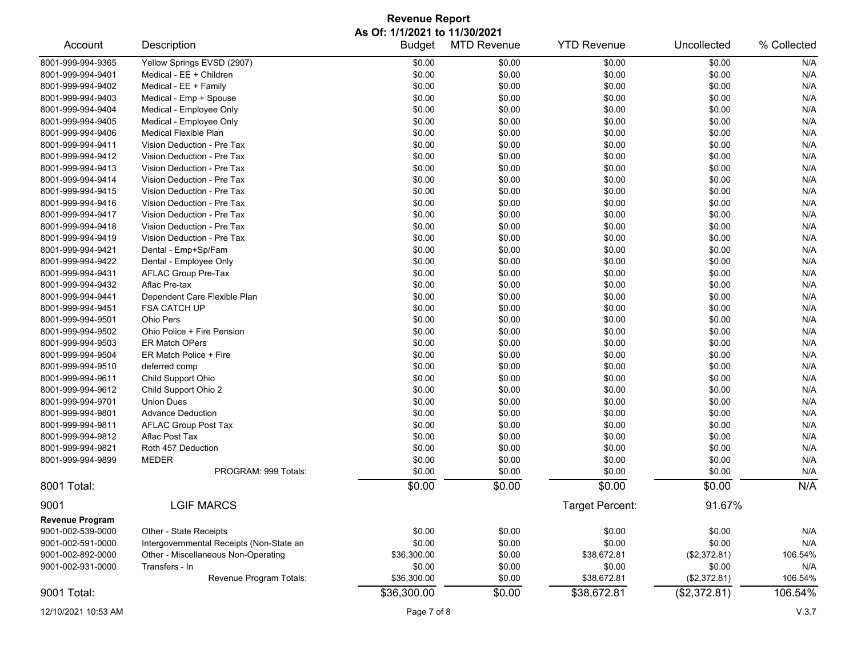## **Revenue Report As Of: 1/1/2021 to 11/30/2021**

| Account                | Description                              | <b>Budget</b> | <b>MTD Revenue</b><br>\$0.00 | <b>YTD Revenue</b>     | Uncollected  | % Collected<br>N/A |
|------------------------|------------------------------------------|---------------|------------------------------|------------------------|--------------|--------------------|
| 8001-999-994-9365      | Yellow Springs EVSD (2907)               | \$0.00        |                              | \$0.00                 | \$0.00       |                    |
| 8001-999-994-9401      | Medical - EE + Children                  | \$0.00        | \$0.00                       | \$0.00                 | \$0.00       | N/A                |
| 8001-999-994-9402      | Medical - EE + Family                    | \$0.00        | \$0.00                       | \$0.00                 | \$0.00       | N/A                |
| 8001-999-994-9403      | Medical - Emp + Spouse                   | \$0.00        | \$0.00                       | \$0.00                 | \$0.00       | N/A                |
| 8001-999-994-9404      | Medical - Employee Only                  | \$0.00        | \$0.00                       | \$0.00                 | \$0.00       | N/A                |
| 8001-999-994-9405      | Medical - Employee Only                  | \$0.00        | \$0.00                       | \$0.00                 | \$0.00       | N/A                |
| 8001-999-994-9406      | Medical Flexible Plan                    | \$0.00        | \$0.00                       | \$0.00                 | \$0.00       | N/A                |
| 8001-999-994-9411      | Vision Deduction - Pre Tax               | \$0.00        | \$0.00                       | \$0.00                 | \$0.00       | N/A                |
| 8001-999-994-9412      | Vision Deduction - Pre Tax               | \$0.00        | \$0.00                       | \$0.00                 | \$0.00       | N/A                |
| 8001-999-994-9413      | Vision Deduction - Pre Tax               | \$0.00        | \$0.00                       | \$0.00                 | \$0.00       | N/A                |
| 8001-999-994-9414      | Vision Deduction - Pre Tax               | \$0.00        | \$0.00                       | \$0.00                 | \$0.00       | N/A                |
| 8001-999-994-9415      | Vision Deduction - Pre Tax               | \$0.00        | \$0.00                       | \$0.00                 | \$0.00       | N/A                |
| 8001-999-994-9416      | Vision Deduction - Pre Tax               | \$0.00        | \$0.00                       | \$0.00                 | \$0.00       | N/A                |
| 8001-999-994-9417      | Vision Deduction - Pre Tax               | \$0.00        | \$0.00                       | \$0.00                 | \$0.00       | N/A                |
| 8001-999-994-9418      | Vision Deduction - Pre Tax               | \$0.00        | \$0.00                       | \$0.00                 | \$0.00       | N/A                |
| 8001-999-994-9419      | Vision Deduction - Pre Tax               | \$0.00        | \$0.00                       | \$0.00                 | \$0.00       | N/A                |
| 8001-999-994-9421      | Dental - Emp+Sp/Fam                      | \$0.00        | \$0.00                       | \$0.00                 | \$0.00       | N/A                |
| 8001-999-994-9422      | Dental - Employee Only                   | \$0.00        | \$0.00                       | \$0.00                 | \$0.00       | N/A                |
| 8001-999-994-9431      | <b>AFLAC Group Pre-Tax</b>               | \$0.00        | \$0.00                       | \$0.00                 | \$0.00       | N/A                |
| 8001-999-994-9432      | Aflac Pre-tax                            | \$0.00        | \$0.00                       | \$0.00                 | \$0.00       | N/A                |
| 8001-999-994-9441      | Dependent Care Flexible Plan             | \$0.00        | \$0.00                       | \$0.00                 | \$0.00       | N/A                |
| 8001-999-994-9451      | <b>FSA CATCH UP</b>                      | \$0.00        | \$0.00                       | \$0.00                 | \$0.00       | N/A                |
| 8001-999-994-9501      | Ohio Pers                                | \$0.00        | \$0.00                       | \$0.00                 | \$0.00       | N/A                |
| 8001-999-994-9502      | Ohio Police + Fire Pension               | \$0.00        | \$0.00                       | \$0.00                 | \$0.00       | N/A                |
| 8001-999-994-9503      | ER Match OPers                           | \$0.00        | \$0.00                       | \$0.00                 | \$0.00       | N/A                |
| 8001-999-994-9504      | ER Match Police + Fire                   | \$0.00        | \$0.00                       | \$0.00                 | \$0.00       | N/A                |
| 8001-999-994-9510      | deferred comp                            | \$0.00        | \$0.00                       | \$0.00                 | \$0.00       | N/A                |
| 8001-999-994-9611      | Child Support Ohio                       | \$0.00        | \$0.00                       | \$0.00                 | \$0.00       | N/A                |
| 8001-999-994-9612      | Child Support Ohio 2                     | \$0.00        | \$0.00                       | \$0.00                 | \$0.00       | N/A                |
| 8001-999-994-9701      | <b>Union Dues</b>                        | \$0.00        | \$0.00                       | \$0.00                 | \$0.00       | N/A                |
| 8001-999-994-9801      | <b>Advance Deduction</b>                 | \$0.00        | \$0.00                       | \$0.00                 | \$0.00       | N/A                |
| 8001-999-994-9811      | <b>AFLAC Group Post Tax</b>              | \$0.00        | \$0.00                       | \$0.00                 | \$0.00       | N/A                |
| 8001-999-994-9812      | Aflac Post Tax                           | \$0.00        | \$0.00                       | \$0.00                 | \$0.00       | N/A                |
| 8001-999-994-9821      | Roth 457 Deduction                       | \$0.00        | \$0.00                       | \$0.00                 | \$0.00       | N/A                |
| 8001-999-994-9899      | <b>MEDER</b>                             | \$0.00        | \$0.00                       | \$0.00                 | \$0.00       | N/A                |
|                        | PROGRAM: 999 Totals:                     | \$0.00        | \$0.00                       | \$0.00                 | \$0.00       | N/A                |
| 8001 Total:            |                                          | \$0.00        | \$0.00                       | \$0.00                 | \$0.00       | N/A                |
| 9001                   | <b>LGIF MARCS</b>                        |               |                              | <b>Target Percent:</b> | 91.67%       |                    |
| <b>Revenue Program</b> |                                          |               |                              |                        |              |                    |
| 9001-002-539-0000      | Other - State Receipts                   | \$0.00        | \$0.00                       | \$0.00                 | \$0.00       | N/A                |
| 9001-002-591-0000      | Intergovernmental Receipts (Non-State an | \$0.00        | \$0.00                       | \$0.00                 | \$0.00       | N/A                |
| 9001-002-892-0000      | Other - Miscellaneous Non-Operating      | \$36,300.00   | \$0.00                       | \$38,672.81            | (\$2,372.81) | 106.54%            |
| 9001-002-931-0000      | Transfers - In                           | \$0.00        | \$0.00                       | \$0.00                 | \$0.00       | N/A                |
|                        | Revenue Program Totals:                  | \$36,300.00   | \$0.00                       | \$38,672.81            | (\$2,372.81) | 106.54%            |
| 9001 Total:            |                                          | \$36,300.00   | \$0.00                       | \$38,672.81            | (\$2,372.81) | 106.54%            |
|                        |                                          |               |                              |                        |              |                    |
| 12/10/2021 10:53 AM    |                                          | Page 7 of 8   |                              |                        |              | V.3.7              |